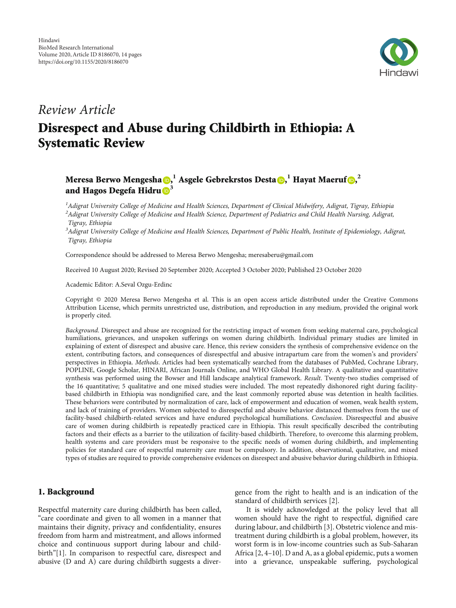

## Review Article

# Disrespect and Abuse during Childbirth in Ethiopia: A Systematic Review

## Meresa Berwo Mengesha , **<sup>1</sup>** Asgele Gebrekrstos Desta [,](https://orcid.org/0000-0002-1092-4130) **<sup>1</sup>** Hayat Maeruf , **2** and Hagos Degefa Hidru<sup>[3](https://orcid.org/0000-0003-2910-2433)</sup>

 $^1$ Adigrat University College of Medicine and Health Sciences, Department of Clinical Midwifery, Adigrat, Tigray, Ethiopia  $^2$ Adigrat University College of Medicine and Health Science, Department of Pediatrics and Child Health Nursing, Adigrat, Tigray, Ethiopia

 $^3$ Adigrat University College of Medicine and Health Sciences, Department of Public Health, Institute of Epidemiology, Adigrat, Tigray, Ethiopia

Correspondence should be addressed to Meresa Berwo Mengesha; meresaberu@gmail.com

Received 10 August 2020; Revised 20 September 2020; Accepted 3 October 2020; Published 23 October 2020

Academic Editor: A.Seval Ozgu-Erdinc

Copyright © 2020 Meresa Berwo Mengesha et al. This is an open access article distributed under the [Creative Commons](https://creativecommons.org/licenses/by/4.0/) [Attribution License](https://creativecommons.org/licenses/by/4.0/), which permits unrestricted use, distribution, and reproduction in any medium, provided the original work is properly cited.

Background. Disrespect and abuse are recognized for the restricting impact of women from seeking maternal care, psychological humiliations, grievances, and unspoken sufferings on women during childbirth. Individual primary studies are limited in explaining of extent of disrespect and abusive care. Hence, this review considers the synthesis of comprehensive evidence on the extent, contributing factors, and consequences of disrespectful and abusive intrapartum care from the women's and providers' perspectives in Ethiopia. Methods. Articles had been systematically searched from the databases of PubMed, Cochrane Library, POPLINE, Google Scholar, HINARI, African Journals Online, and WHO Global Health Library. A qualitative and quantitative synthesis was performed using the Bowser and Hill landscape analytical framework. Result. Twenty-two studies comprised of the 16 quantitative; 5 qualitative and one mixed studies were included. The most repeatedly dishonored right during facilitybased childbirth in Ethiopia was nondignified care, and the least commonly reported abuse was detention in health facilities. These behaviors were contributed by normalization of care, lack of empowerment and education of women, weak health system, and lack of training of providers. Women subjected to disrespectful and abusive behavior distanced themselves from the use of facility-based childbirth-related services and have endured psychological humiliations. Conclusion. Disrespectful and abusive care of women during childbirth is repeatedly practiced care in Ethiopia. This result specifically described the contributing factors and their effects as a barrier to the utilization of facility-based childbirth. Therefore, to overcome this alarming problem, health systems and care providers must be responsive to the specific needs of women during childbirth, and implementing policies for standard care of respectful maternity care must be compulsory. In addition, observational, qualitative, and mixed types of studies are required to provide comprehensive evidences on disrespect and abusive behavior during childbirth in Ethiopia.

### 1. Background

Respectful maternity care during childbirth has been called, "care coordinate and given to all women in a manner that maintains their dignity, privacy and confidentiality, ensures freedom from harm and mistreatment, and allows informed choice and continuous support during labour and childbirth"[\[1\]](#page-11-0). In comparison to respectful care, disrespect and abusive (D and A) care during childbirth suggests a divergence from the right to health and is an indication of the standard of childbirth services [\[2\]](#page-11-0).

It is widely acknowledged at the policy level that all women should have the right to respectful, dignified care during labour, and childbirth [\[3](#page-12-0)]. Obstetric violence and mistreatment during childbirth is a global problem, however, its worst form is in low-income countries such as Sub-Saharan Africa [\[2,](#page-11-0) [4](#page-12-0)–[10](#page-12-0)]. D and A, as a global epidemic, puts a women into a grievance, unspeakable suffering, psychological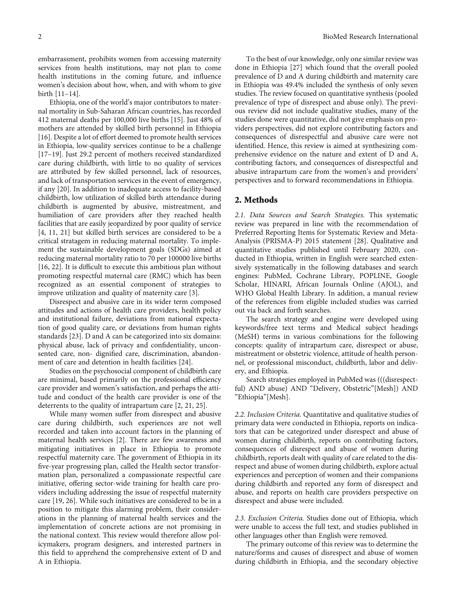embarrassment, prohibits women from accessing maternity services from health institutions, may not plan to come health institutions in the coming future, and influence women's decision about how, when, and with whom to give birth [[11](#page-12-0)–[14](#page-12-0)].

Ethiopia, one of the world's major contributors to maternal mortality in Sub-Saharan African countries, has recorded 412 maternal deaths per 100,000 live births [\[15\]](#page-12-0). Just 48% of mothers are attended by skilled birth personnel in Ethiopia [\[16](#page-12-0)]. Despite a lot of effort deemed to promote health services in Ethiopia, low-quality services continue to be a challenge [\[17](#page-12-0)–[19\]](#page-12-0). Just 29.2 percent of mothers received standardized care during childbirth, with little to no quality of services are attributed by few skilled personnel, lack of resources, and lack of transportation services in the event of emergency, if any [[20](#page-12-0)]. In addition to inadequate access to facility-based childbirth, low utilization of skilled birth attendance during childbirth is augmented by abusive, mistreatment, and humiliation of care providers after they reached health facilities that are easily jeopardized by poor quality of service [\[4](#page-12-0), [11, 21\]](#page-12-0) but skilled birth services are considered to be a critical stratagem in reducing maternal mortality. To implement the sustainable development goals (SDGs) aimed at reducing maternal mortality ratio to 70 per 100000 live births [\[16](#page-12-0), [22](#page-12-0)]. It is difficult to execute this ambitious plan without promoting respectful maternal care (RMC) which has been recognized as an essential component of strategies to improve utilization and quality of maternity care [\[3\]](#page-12-0).

Disrespect and abusive care in its wider term composed attitudes and actions of health care providers, health policy and institutional failure, deviations from national expectation of good quality care, or deviations from human rights standards [\[23\]](#page-12-0). D and A can be categorized into six domains: physical abuse, lack of privacy and confidentiality, unconsented care, non- dignified care, discrimination, abandonment of care and detention in health facilities [[24](#page-12-0)].

Studies on the psychosocial component of childbirth care are minimal, based primarily on the professional efficiency care provider and women's satisfaction, and perhaps the attitude and conduct of the health care provider is one of the deterrents to the quality of intrapartum care [\[2](#page-11-0), [21, 25](#page-12-0)].

While many women suffer from disrespect and abusive care during childbirth, such experiences are not well recorded and taken into account factors in the planning of maternal health services [\[2\]](#page-11-0). There are few awareness and mitigating initiatives in place in Ethiopia to promote respectful maternity care. The government of Ethiopia in its five-year progressing plan, called the Health sector transformation plan, personalized a compassionate respectful care initiative, offering sector-wide training for health care providers including addressing the issue of respectful maternity care [\[19, 26](#page-12-0)]. While such initiatives are considered to be in a position to mitigate this alarming problem, their considerations in the planning of maternal health services and the implementation of concrete actions are not promising in the national context. This review would therefore allow policymakers, program designers, and interested partners in this field to apprehend the comprehensive extent of D and A in Ethiopia.

To the best of our knowledge, only one similar review was done in Ethiopia [[27\]](#page-12-0) which found that the overall pooled prevalence of D and A during childbirth and maternity care in Ethiopia was 49.4% included the synthesis of only seven studies. The review focused on quantitative synthesis (pooled prevalence of type of disrespect and abuse only). The previous review did not include qualitative studies, many of the studies done were quantitative, did not give emphasis on providers perspectives, did not explore contributing factors and consequences of disrespectful and abusive care were not identified. Hence, this review is aimed at synthesizing comprehensive evidence on the nature and extent of D and A, contributing factors, and consequences of disrespectful and abusive intrapartum care from the women's and providers' perspectives and to forward recommendations in Ethiopia.

#### 2. Methods

2.1. Data Sources and Search Strategies. This systematic review was prepared in line with the recommendation of Preferred Reporting Items for Systematic Review and Meta-Analysis (PRISMA-P) 2015 statement [\[28\]](#page-12-0). Qualitative and quantitative studies published until February 2020, conducted in Ethiopia, written in English were searched extensively systematically in the following databases and search engines: PubMed, Cochrane Library, POPLINE, Google Scholar, HINARI, African Journals Online (AJOL), and WHO Global Health Library. In addition, a manual review of the references from eligible included studies was carried out via back and forth searches.

The search strategy and engine were developed using keywords/free text terms and Medical subject headings (MeSH) terms in various combinations for the following concepts: quality of intrapartum care, disrespect or abuse, mistreatment or obstetric violence, attitude of health personnel, or professional misconduct, childbirth, labor and delivery, and Ethiopia.

Search strategies employed in PubMed was (((disrespectful) AND abuse) AND "Delivery, Obstetric"[Mesh]) AND "Ethiopia"[Mesh].

2.2. Inclusion Criteria. Quantitative and qualitative studies of primary data were conducted in Ethiopia, reports on indicators that can be categorized under disrespect and abuse of women during childbirth, reports on contributing factors, consequences of disrespect and abuse of women during childbirth, reports dealt with quality of care related to the disrespect and abuse of women during childbirth, explore actual experiences and perception of women and their companions during childbirth and reported any form of disrespect and abuse, and reports on health care providers perspective on disrespect and abuse were included.

2.3. Exclusion Criteria. Studies done out of Ethiopia, which were unable to access the full text, and studies published in other languages other than English were removed.

The primary outcome of this review was to determine the nature/forms and causes of disrespect and abuse of women during childbirth in Ethiopia, and the secondary objective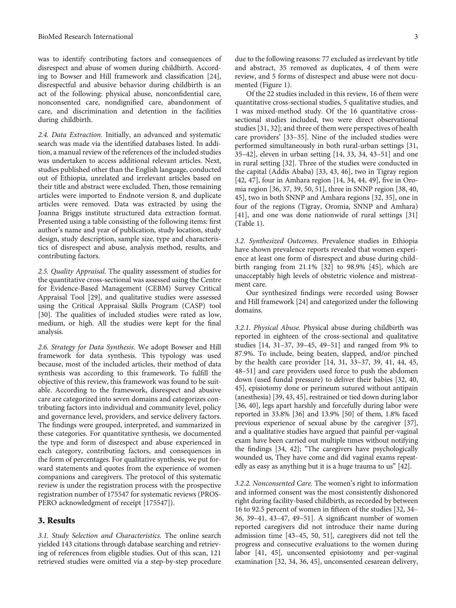was to identify contributing factors and consequences of disrespect and abuse of women during childbirth. According to Bowser and Hill framework and classification [[24](#page-12-0)], disrespectful and abusive behavior during childbirth is an act of the following: physical abuse, nonconfidential care, nonconsented care, nondignified care, abandonment of care, and discrimination and detention in the facilities during childbirth.

2.4. Data Extraction. Initially, an advanced and systematic search was made via the identified databases listed. In addition, a manual review of the references of the included studies was undertaken to access additional relevant articles. Next, studies published other than the English language, conducted out of Ethiopia, unrelated and irrelevant articles based on their title and abstract were excluded. Then, those remaining articles were imported to Endnote version 8, and duplicate articles were removed. Data was extracted by using the Joanna Briggs institute structured data extraction format. Presented using a table consisting of the following items: first author's name and year of publication, study location, study design, study description, sample size, type and characteristics of disrespect and abuse, analysis method, results, and contributing factors.

2.5. Quality Appraisal. The quality assessment of studies for the quantitative cross-sectional was assessed using the Centre for Evidence-Based Management (CEBM) Survey Critical Appraisal Tool [\[29\]](#page-12-0), and qualitative studies were assessed using the Critical Appraisal Skills Program (CASP) tool [\[30](#page-12-0)]. The qualities of included studies were rated as low, medium, or high. All the studies were kept for the final analysis.

2.6. Strategy for Data Synthesis. We adopt Bowser and Hill framework for data synthesis. This typology was used because, most of the included articles, their method of data synthesis was according to this framework. To fulfill the objective of this review, this framework was found to be suitable. According to the framework, disrespect and abusive care are categorized into seven domains and categorizes contributing factors into individual and community level, policy and governance level, providers, and service delivery factors. The findings were grouped, interpreted, and summarized in these categories. For quantitative synthesis, we documented the type and form of disrespect and abuse experienced in each category, contributing factors, and consequences in the form of percentages. For qualitative synthesis, we put forward statements and quotes from the experience of women companions and caregivers. The protocol of this systematic review is under the registration process with the prospective registration number of 175547 for systematic reviews (PROS-PERO acknowledgment of receipt [175547]).

#### 3. Results

3.1. Study Selection and Characteristics. The online search yielded 143 citations through database searching and retrieving of references from eligible studies. Out of this scan, 121 retrieved studies were omitted via a step-by-step procedure due to the following reasons: 77 excluded as irrelevant by title and abstract, 35 removed as duplicates, 4 of them were review, and 5 forms of disrespect and abuse were not documented (Figure [1](#page-3-0)).

Of the 22 studies included in this review, 16 of them were quantitative cross-sectional studies, 5 qualitative studies, and 1 was mixed-method study. Of the 16 quantitative crosssectional studies included, two were direct observational studies [[31](#page-12-0), [32](#page-12-0)]; and three of them were perspectives of health care providers' [\[33](#page-12-0)–[35\]](#page-12-0). Nine of the included studies were performed simultaneously in both rural-urban settings [\[31,](#page-12-0) [35](#page-12-0)–[42](#page-13-0)], eleven in urban setting [\[14, 33, 34,](#page-12-0) [43](#page-13-0)–[51\]](#page-13-0) and one in rural setting [[32](#page-12-0)]. Three of the studies were conducted in the capital (Addis Ababa) [\[33,](#page-12-0) [43, 46](#page-13-0)], two in Tigray region [\[42, 47](#page-13-0)], four in Amhara region [[14](#page-12-0), [34,](#page-12-0) [44](#page-13-0), [49\]](#page-13-0), five in Oromia region [[36](#page-13-0), [37, 39, 50, 51](#page-13-0)], three in SNNP region [\[38, 40,](#page-13-0) [45\]](#page-13-0), two in both SNNP and Amhara regions [\[32, 35](#page-12-0)], one in four of the regions (Tigray, Oromia, SNNP and Amhara) [\[41\]](#page-13-0), and one was done nationwide of rural settings [[31\]](#page-12-0) (Table [1](#page-4-0)).

3.2. Synthesized Outcomes. Prevalence studies in Ethiopia have shown prevalence reports revealed that women experience at least one form of disrespect and abuse during childbirth ranging from 21.1% [[32](#page-12-0)] to 98.9% [[45](#page-13-0)], which are unacceptably high levels of obstetric violence and mistreatment care.

Our synthesized findings were recorded using Bowser and Hill framework [[24](#page-12-0)] and categorized under the following domains.

3.2.1. Physical Abuse. Physical abuse during childbirth was reported in eighteen of the cross-sectional and qualitative studies [[14](#page-12-0), [31](#page-12-0)–[37, 39](#page-13-0)–[45](#page-13-0), [49](#page-13-0)–[51\]](#page-13-0) and ranged from 9% to 87.9%. To include, being beaten, slapped, and/or pinched by the health care provider [\[14, 31, 33](#page-12-0)–[37](#page-13-0), [39, 41](#page-13-0), [44](#page-13-0), [45,](#page-13-0) [48](#page-13-0)–[51](#page-13-0)] and care providers used force to push the abdomen down (used fundal pressure) to deliver their babies [\[32,](#page-12-0) [40,](#page-13-0) [45\]](#page-13-0), episiotomy done or perineum sutured without antipain (anesthesia) [\[39, 43](#page-13-0), [45](#page-13-0)], restrained or tied down during labor [\[36, 40\]](#page-13-0), legs apart harshly and forcefully during labor were reported in 33.8% [\[36](#page-13-0)] and 13.9% [\[50\]](#page-13-0) of them, 1.8% faced previous experience of sexual abuse by the caregiver [\[37](#page-13-0)], and a qualitative studies have argued that painful per-vaginal exam have been carried out multiple times without notifying the findings [\[34,](#page-12-0) [42\]](#page-13-0); "The caregivers have psychologically wounded us, They have come and did vaginal exams repeatedly as easy as anything but it is a huge trauma to us" [[42](#page-13-0)].

3.2.2. Nonconsented Care. The women's right to information and informed consent was the most consistently dishonored right during facility-based childbirth, as recorded by between 16 to 92.5 percent of women in fifteen of the studies [\[32, 34](#page-12-0)– [36, 39](#page-13-0)–[41, 43](#page-13-0)–[47, 49](#page-13-0)–[51\]](#page-13-0). A significant number of women reported caregivers did not introduce their name during admission time [[43](#page-13-0)–[45](#page-13-0), [50, 51](#page-13-0)], caregivers did not tell the progress and consecutive evaluations to the women during labor [[41](#page-13-0), [45\]](#page-13-0), unconsented episiotomy and per-vaginal examination [[32, 34,](#page-12-0) [36](#page-13-0), [45\]](#page-13-0), unconsented cesarean delivery,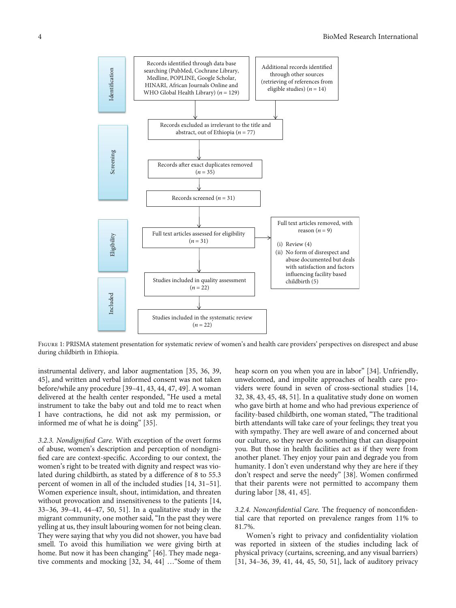<span id="page-3-0"></span>

FIGURE 1: PRISMA statement presentation for systematic review of women's and health care providers' perspectives on disrespect and abuse during childbirth in Ethiopia.

instrumental delivery, and labor augmentation [\[35,](#page-12-0) [36](#page-13-0), [39,](#page-13-0) [45\]](#page-13-0), and written and verbal informed consent was not taken before/while any procedure [\[39](#page-13-0)–[41, 43, 44, 47](#page-13-0), [49](#page-13-0)]. A woman delivered at the health center responded, "He used a metal instrument to take the baby out and told me to react when I have contractions, he did not ask my permission, or informed me of what he is doing" [[35](#page-12-0)].

3.2.3. Nondignified Care. With exception of the overt forms of abuse, women's description and perception of nondignified care are context-specific. According to our context, the women's right to be treated with dignity and respect was violated during childbirth, as stated by a difference of 8 to 55.3 percent of women in all of the included studies [\[14, 31](#page-12-0)–[51](#page-13-0)]. Women experience insult, shout, intimidation, and threaten without provocation and insensitiveness to the patients [\[14,](#page-12-0) [33](#page-12-0)–[36](#page-13-0), [39](#page-13-0)–[41, 44](#page-13-0)–[47, 50](#page-13-0), [51\]](#page-13-0). In a qualitative study in the migrant community, one mother said, "In the past they were yelling at us, they insult labouring women for not being clean. They were saying that why you did not shower, you have bad smell. To avoid this humiliation we were giving birth at home. But now it has been changing" [\[46\]](#page-13-0). They made negative comments and mocking [\[32, 34,](#page-12-0) [44](#page-13-0)] …"Some of them

heap scorn on you when you are in labor" [[34](#page-12-0)]. Unfriendly, unwelcomed, and impolite approaches of health care providers were found in seven of cross-sectional studies [\[14,](#page-12-0) [32,](#page-12-0) [38, 43](#page-13-0), [45, 48, 51](#page-13-0)]. In a qualitative study done on women who gave birth at home and who had previous experience of facility-based childbirth, one woman stated, "The traditional birth attendants will take care of your feelings; they treat you with sympathy. They are well aware of and concerned about our culture, so they never do something that can disappoint you. But those in health facilities act as if they were from another planet. They enjoy your pain and degrade you from humanity. I don't even understand why they are here if they don't respect and serve the needy" [\[38\]](#page-13-0). Women confirmed that their parents were not permitted to accompany them during labor [\[38, 41](#page-13-0), [45\]](#page-13-0).

3.2.4. Nonconfidential Care. The frequency of nonconfidential care that reported on prevalence ranges from 11% to 81.7%.

Women's right to privacy and confidentiality violation was reported in sixteen of the studies including lack of physical privacy (curtains, screening, and any visual barriers) [\[31](#page-12-0), [34](#page-12-0)–[36, 39](#page-13-0), [41, 44, 45](#page-13-0), [50](#page-13-0), [51\]](#page-13-0), lack of auditory privacy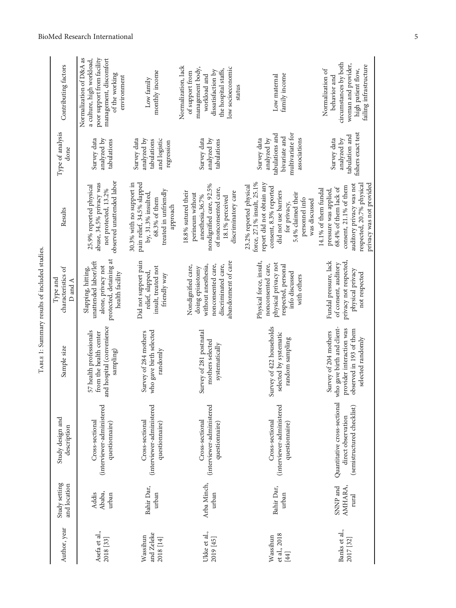<span id="page-4-0"></span>

| Author, year                        | Study setting<br>and location | Study design and<br>description                                                  | Sample size                                                                                                                     | characteristics of<br>Type and<br>D and A                                                                                         | Results                                                                                                                                                                                                      | Type of analysis<br>done                                                                           | Contributing factors                                                                                                                                    |
|-------------------------------------|-------------------------------|----------------------------------------------------------------------------------|---------------------------------------------------------------------------------------------------------------------------------|-----------------------------------------------------------------------------------------------------------------------------------|--------------------------------------------------------------------------------------------------------------------------------------------------------------------------------------------------------------|----------------------------------------------------------------------------------------------------|---------------------------------------------------------------------------------------------------------------------------------------------------------|
| Asefa et al.,<br>2018 [33]          | Ababa,<br>urban<br>Addis      | (interviewer-administered<br>Cross-sectional<br>questionnaire)                   | and hospital (convenience<br>57 health professionals<br>from the health center<br>sampling                                      | protected, detaining at<br>unattended labor/left<br>alone, privacy not<br>Slapping, hitting,<br>health facility                   | observed unattended labor<br>abuse, 34.5% privacy was<br>25.9% reported physical<br>not protected, 13.2%                                                                                                     | Survey data<br>analyzed by<br>tabulations                                                          | Normalization of D&A as<br>poor support from facility<br>a culture, high workload,<br>management, discomfort<br>of the working<br>environment           |
| and Zeleke<br>Wassihun<br>2018 [14] | Bahir Dar,<br>urban           | (interviewer-administered<br>Cross-sectional<br>questionnaire)                   | who gave birth selected<br>Survey of 284 mothers<br>randomly                                                                    | Did not support pain<br>insult, treated not<br>relief, slapped,<br>triendly way                                                   | pain relief, 34.5% slapped<br>30.3% with no support in<br>treated in unfriendly<br>by, 31.3% insulted,<br>68.3% of them<br>approach                                                                          | Survey data<br>analyzed by<br>and logistic<br>tabulations<br>regression                            | monthly income<br>Low family                                                                                                                            |
| Ukke et al.,<br>2019 [45]           | Arba Minch,<br>urban          | (interviewer-administered<br>Cross-sectional<br>questionnaire)                   | Survey of 281 postnatal<br>mothers selected<br>systematically                                                                   | abandonment of care<br>nonconsented care,<br>without anesthesia,<br>discriminated care,<br>Nondignified care,<br>doing episiotomy | nondignified care, 92.5%<br>of nonconsented care,<br>discriminatory care<br>18.8% sutured their<br>perineum without<br>anesthesia,36.7%<br>18.1% perceived                                                   | Survey data<br>analyzed by<br>tabulations                                                          | Normalization, lack<br>management body,<br>low socioeconomic<br>the hospital staffs,<br>dissatisfaction by<br>of support from<br>workload and<br>status |
| et al., 2018<br>Wassihun<br>[44]    | Bahir Dar,<br>urban           | (interviewer-administered<br>Cross-sectional<br>questionnaire)                   | Survey of 422 households<br>selected by systematic<br>random sampling                                                           | Physical force, insult,<br>physical privacy not<br>nonconsented care,<br>respected, personal<br>info discussed<br>with others     | force, 27.1% insult, 25.1%<br>report did not obtain any<br>23.2% reported physical<br>consent, 8.3% reported<br>did not use barriers<br>5.4% claimed their<br>personnel info<br>was discussed<br>for privacy | multivariate for<br>tabulations and<br>bivariate and<br>analyzed by<br>associations<br>Survey data | family income<br>Low maternal                                                                                                                           |
| Banks et al.,<br>2017 [32]          | SNNP and<br>AMHARA,<br>rural  | Quantitative cross-sectional<br>(semistructured checklist)<br>direct observation | who gave birth and client-<br>provider interaction was<br>observed in 193 of them<br>Survey of 204 mothers<br>selected randomly | privacy not respected,<br>Fundal pressure, lack<br>of consent, auditory<br>physical privacy<br>not respected                      | privacy was not provided<br>respected, 20.7% physical<br>auditory privacy was not<br>consent, 21.1% of them<br>68.4% of them lack of<br>pressure was applied,<br>14.1% of them fundal                        | fishers exact test<br>tabulation and<br>Survey data<br>analyzed by                                 | circumstances by both<br>woman and provider,<br>failing infrastructure<br>Normalization of<br>high patient flow,<br>behavior and                        |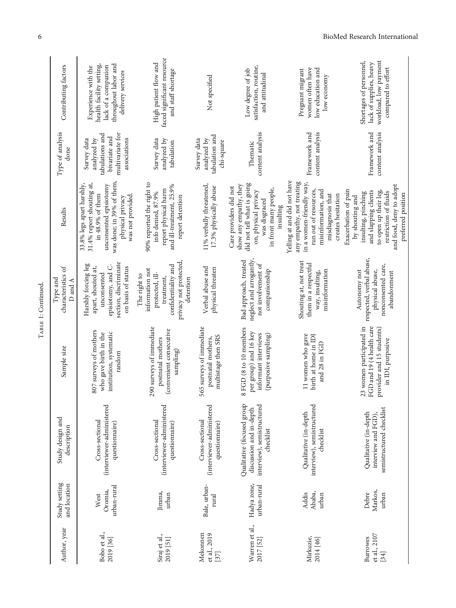| Author, year                       | Study setting<br>and location  | Study design and<br>description                                                                  | Sample size                                                                                             | characteristics of<br>Type and<br>D and A                                                                                      | Results                                                                                                                                                                                   | Type of analysis<br>done                                                                           | Contributing factors                                                                                                |
|------------------------------------|--------------------------------|--------------------------------------------------------------------------------------------------|---------------------------------------------------------------------------------------------------------|--------------------------------------------------------------------------------------------------------------------------------|-------------------------------------------------------------------------------------------------------------------------------------------------------------------------------------------|----------------------------------------------------------------------------------------------------|---------------------------------------------------------------------------------------------------------------------|
| Bobo et al.,<br>2019 [36]          | urban-rural<br>Oromia,<br>West | (interviewer-administered<br>Cross-sectional<br>questionnaire)                                   | 807 surveys of mothers<br>institution, systematic<br>who gave birth in the<br>random                    | section, discriminate<br>Harshly forcing leg<br>episiotomy, and C-<br>apart, shouted at,<br>on basis of status<br>unconsented  | was done; in 39% of them,<br>31.4% report shouting at,<br>33.8% legs apart harshly,<br>unconsented episiotomy<br>in 48.9% of them<br>was not provided<br>physical privacy                 | multivariate for<br>tabulations and<br>bivariate and<br>associations<br>Survey data<br>analyzed by | throughout labor and<br>health facility setting,<br>lack of a companion<br>Experience with the<br>delivery services |
| Siraj et al.,<br>2019 [51]         | Jimma,<br>urban                | (interviewer-administered<br>Cross-sectional<br>questionnaire)                                   | 290 surveys of immediate<br>(convenient consecutive<br>postnatal mothers<br>sampling)                   | privacy not protected,<br>confidentiality and<br>information not<br>protected, ill-<br>The right to<br>treatment,<br>detention | 90% reported the right to<br>and ill-treatment, 25.9%<br>report physical harm<br>info denied, 87.9%<br>report detention                                                                   | Survey data<br>analyzed by<br>tabulation                                                           | faced significant resource<br>High patient flow and<br>and staff shortage                                           |
| Mekonnen<br>et al., 2019<br>$[37]$ | Bale, urban-<br>rural          | (interviewer-administered<br>Cross-sectional<br>questionnaire)                                   | 565 surveys of immediate<br>multistage then SRS<br>postnatal mothers,                                   | Verbal abuse and<br>physical threaten                                                                                          | 11% verbally threatened,<br>17.3% physically abuse                                                                                                                                        | tabulation and<br>analyzed by<br>Survey data<br>chi-square                                         | Not specified                                                                                                       |
| Warren et al.,<br>2017 [52]        | Hadya zone,<br>urban-rural     | Qualitative (focused group<br>interview), semistructured<br>discussion and in-depth<br>checklist | 8 FGD (8 to 10 members<br>per group) and 16 key<br>informant interviews<br>(purposive sampling)         | neglect and arrogantly,<br>Bad approach, treated<br>not involvement of<br>companionship                                        | did not tell what is going<br>show any empathy, they<br>Care providers did not<br>in front many people,<br>on, physical privacy<br>was disgraced<br>insulting                             | content analysis<br>Thematic                                                                       | satisfaction, routine,<br>Low degree of job<br>and attitudinal                                                      |
| Mirkuzie,<br>2014 [46]             | Ababa,<br>Addis<br>urban       | interview), semistructured<br>Qualitative (in-depth<br>checklist                                 | 11 women who gave<br>birth at home in IDI<br>and 28 in FGD                                              | Shouting at, not treat<br>them in a respectful<br>misinformation<br>way, insulting,                                            | Yelling at and did not have<br>any empathy, not treating<br>in a women-friendly way,<br>misinformation, and<br>run out of resources,<br>misdiagnosis that<br>creates hesitation           | Framework and<br>content analysis                                                                  | women often have<br>low education and<br>Pregnant migrant<br>low economy                                            |
| et al., 2107<br>Burrowes<br>$[34]$ | Markos,<br>Debre<br>urban      | semistructured checklist<br>Qualitative (in-depth<br>interview and FGD).                         | 23 women participated in<br>FGD and 19 (4 health care<br>provider and 15 students)<br>in IDI, purposive | respected, verbal abuse,<br>nonconsented care,<br>Autonomy not<br>physical abuse,<br>abandonment                               | and food, deny to adopt<br>Exacerbation of pain<br>to open up their leg,<br>and slapping clients<br>restriction of fluids<br>insulting, pinching<br>preferred position<br>by shouting and | content analysis<br>Framework and                                                                  | workload, low payment<br>Shortages of personnel,<br>lack of supplies, heavy<br>compared to effort                   |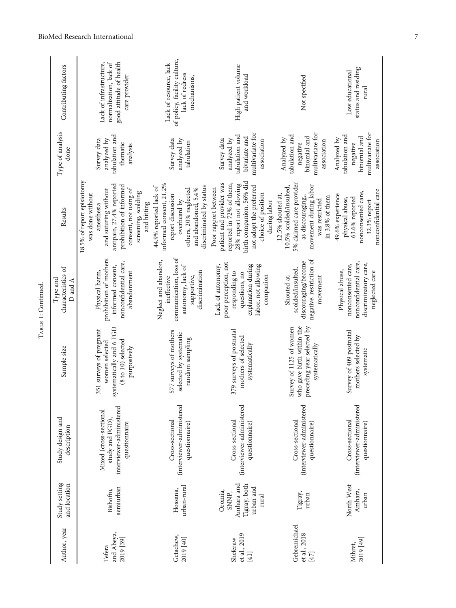|                     | Contributing factors                      | good attitude of health<br>Lack of infrastructure,<br>normalization, lack of<br>care provider                                                                                                              | of policy, facility culture,<br>Lack of resource, lack<br>lack of redress<br>mechanisms,                                                                          | High patient volume<br>and workload                                                                                                                                                                  | Not specified                                                                                                                                              | status and residing<br>Low educational<br>rural                                                                     |
|---------------------|-------------------------------------------|------------------------------------------------------------------------------------------------------------------------------------------------------------------------------------------------------------|-------------------------------------------------------------------------------------------------------------------------------------------------------------------|------------------------------------------------------------------------------------------------------------------------------------------------------------------------------------------------------|------------------------------------------------------------------------------------------------------------------------------------------------------------|---------------------------------------------------------------------------------------------------------------------|
|                     | Type of analysis<br>done                  | tabulation and<br>Survey data<br>analyzed by<br>thematic<br>analysis                                                                                                                                       | Survey data<br>analyzed by<br>tabulation                                                                                                                          | multivariate for<br>tabulation and<br>bivariate and<br>analyzed by<br>Survey data<br>association                                                                                                     | multivariate for<br>tabulation and<br>binomial and<br>Analyzed by<br>association<br>negative                                                               | multivariate for<br>tabulation and<br>binomial and<br>Analyzed by<br>association<br>negative                        |
|                     | Results                                   | 18.5% of report episiotomy<br>antipain, 27.4% reported<br>prohibition of informed<br>consent, not using of<br>and suturing without<br>screening, scolding<br>was done without<br>and hitting<br>anesthesia | informed consent, 21.2%<br>44.9% reported lack of<br>discriminated by status<br>others, 20% neglected<br>and abandoned, 5.4%<br>report discussion<br>overheard by | birth companion, 56% did<br>patient and provider was<br>reported in 72% of them,<br>28% report not allowing<br>not adopt the preferred<br>Poor rapport between<br>choice of position<br>during labor | 5% claimed care provider<br>movement during labor<br>10.5% scolded/insulted,<br>12.5% shouted at,<br>as discouraging,<br>in 3.8% of them<br>was restricted | nonconfidential care<br>nonconsented care,<br>49.6% experience<br>63.6% reported<br>physical abuse,<br>32.3% report |
| TABLE 1: Continued. | characteristics of<br>Type and<br>D and A | prohibition of mothers<br>nonconfidential care,<br>informed consent,<br>Physical harm,<br>abandonment                                                                                                      | communication, loss of<br>Neglect and abandon,<br>autonomy, lack of<br>discrimination<br>supportive,<br>ineffective                                               | poor perception, not<br>explanation during<br>Lack of autonomy,<br>labor, not allowing<br>responding to<br>questions, no<br>companion                                                                | negative, restriction of<br>discouraging/become<br>scolded/insulted,<br>Shouted at,<br>movement                                                            | nonconfidential care,<br>discriminatory care,<br>nonconsented care,<br>Physical abuse,<br>neglected care            |
|                     | Sample size                               | systematically and 6 FGD<br>351 surveys of pregnant<br>$(8 to 10)$ selected<br>women selected<br>purposively                                                                                               | 577 surveys of mothers<br>selected by systematic<br>random sampling                                                                                               | 379 surveys of postnatal<br>mothers of selected<br>systematically                                                                                                                                    | who gave birth within the<br>preceding year selected by<br>Survey of 1125 of women<br>systematically                                                       | Survey of 409 postnatal<br>mothers selected by<br>systematic                                                        |
|                     | Study design and<br>description           | interviewer-administered<br>Mixed (cross-sectional<br>study and FGD),<br>questionnaire                                                                                                                     | (interviewer-administered<br>Cross-sectional<br>questionnaire)                                                                                                    | (interviewer-administered<br>Cross-sectional<br>questionnaire)                                                                                                                                       | (interviewer-administered<br>Cross-sectional<br>questionnaire)                                                                                             | (interviewer-administered<br>Cross-sectional<br>questionnaire)                                                      |
|                     | Study setting<br>and location             | semiurban<br>Bishoftu,                                                                                                                                                                                     | urban-rural<br>Hossana,                                                                                                                                           | Amhara and<br>Tigray, both<br>urban and<br>Oromia,<br>SNNP,<br>rural                                                                                                                                 | Tigray,<br>urban                                                                                                                                           | North West<br>Amhara,<br>urban                                                                                      |
|                     | Author, year                              | and Abeya,<br>2019 [39]<br>Tefera                                                                                                                                                                          | Getachew,<br>2019 [40]                                                                                                                                            | et al., 2019<br>Sheferaw<br>$[41]$                                                                                                                                                                   | Gebremichael<br>et al., 2018<br>$[47]$                                                                                                                     | 2019 [49]<br>Mihret,                                                                                                |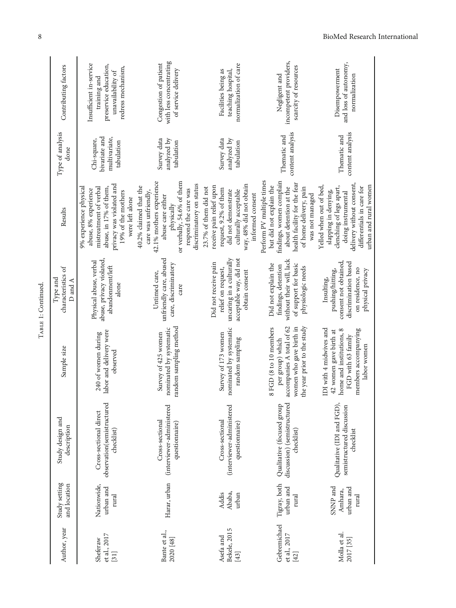| Contributing factors                              | Insufficient in-service<br>preservice education,<br>redress mechanism,<br>unavailability of<br>training and                                                             | with less concentrating<br>Congestion of patient<br>of service delivery                                                                                                                         | normalization of care<br>Facilities being as<br>teaching hospital,                                                                                                        | incompetent providers,<br>scarcity of resources<br>Negligent and                                                                                                                        | and loss of autonomy,<br>Disempowerment<br>normalization                                                                                                                             |
|---------------------------------------------------|-------------------------------------------------------------------------------------------------------------------------------------------------------------------------|-------------------------------------------------------------------------------------------------------------------------------------------------------------------------------------------------|---------------------------------------------------------------------------------------------------------------------------------------------------------------------------|-----------------------------------------------------------------------------------------------------------------------------------------------------------------------------------------|--------------------------------------------------------------------------------------------------------------------------------------------------------------------------------------|
| Type of analysis<br>done                          | bivariate and<br>multivariate,<br>Chi-square,<br>tabulation                                                                                                             | Survey data<br>analyzed by<br>tabulation                                                                                                                                                        | Survey data<br>analyzed by<br>tabulation                                                                                                                                  | content analysis<br>Thematic and                                                                                                                                                        | content analysis<br>Thematic and                                                                                                                                                     |
| Results                                           | privacy was violated and<br>abuse, in 17% of them,<br>9% experience physical<br>mistreatment of verbal<br>abuse, 8% experience<br>19% of the mothers<br>were left alone | 42.1% mothers experience<br>or verbally, 54.6% of them<br>discriminatory on status<br>40.2% claimed that the<br>respond the care was<br>care was unfriendly,<br>abuse care either<br>physically | way, 48% did not obtain<br>receive pain relief upon<br>23.7% of them did not<br>request, 9.2% of them<br>did not demonstrate<br>culturally acceptable<br>informed consent | Perform PV multiple times<br>findings, women complain<br>health facility for the fear<br>but did not explain the<br>about detention at the<br>of home delivery, pain<br>was not managed | delivery without consent,<br>Yelled when out of bed,<br>urban and rural women<br>clenching of legs apart,<br>differentials in care for<br>slapping in denying,<br>doing instrumental |
| characteristics of<br>Type and<br>D and $\Lambda$ | abuse, privacy violated,<br>Physical abuse, verbal<br>abandonment/left<br>alone                                                                                         | unfriendly care, abused<br>care, discriminatory<br>Untimed care,                                                                                                                                | uncaring in a culturally<br>acceptable way, did not<br>Did not receive pain<br>relief on request,<br>obtain consent                                                       | without their will, lack<br>of support for basic<br>Did not explain the<br>findings, detention<br>physiologic needs                                                                     | consent not obtained,<br>discrimination based<br>on residence, no<br>pushing/hitting,<br>physical privacy<br>Insulting,                                                              |
| Sample size                                       | labor and delivery were<br>240 of women during<br>observed                                                                                                              | andom sampling method<br>nominated by systematic<br>Survey of 425 women                                                                                                                         | nominated by systematic<br>Survey of 173 women<br>random sampling                                                                                                         | accompanies A total of 62<br>8 FGD (8 to 10 members<br>women who gave birth in<br>the year prior to the study<br>per group) which                                                       | IDI with 4 midwives and<br>$^{\circ}$<br>members accompanying<br>42 women gave birth at<br>home and institutions,<br>FGD with 63 family<br>labor women                               |
| Study design and<br>description                   | observation(semistructured<br>Cross-sectional direct<br>checklist)                                                                                                      | (interviewer-administered<br>Cross-sectional<br>questionnaire)                                                                                                                                  | (interviewer-administered<br>Cross-sectional<br>questionnaire)                                                                                                            | discussion) (semistructured<br>Qualitative (focused group<br>checklist)                                                                                                                 | Qualitative (IDI and FGD),<br>semistructured discussion<br>checklist                                                                                                                 |
| Study setting<br>and location                     | Nationwide,<br>urban and<br>rural                                                                                                                                       | Harar, urban                                                                                                                                                                                    | Ababa,<br>Addis<br>urban                                                                                                                                                  | Tigray, both<br>urban and<br>rural                                                                                                                                                      | SNNP and<br>urban and<br>Amhara,<br>rural                                                                                                                                            |
| Author, year                                      | et al., 2017<br>Sheferaw<br>$\begin{bmatrix} 31 \end{bmatrix}$                                                                                                          | Bante et al.,<br>2020 [48]                                                                                                                                                                      | Bekele, 2015<br>Asefa and<br>$[43]$                                                                                                                                       | Gebremichael<br>et al., 2017<br>$[42]$                                                                                                                                                  | Molla et al.<br>2017 [35]                                                                                                                                                            |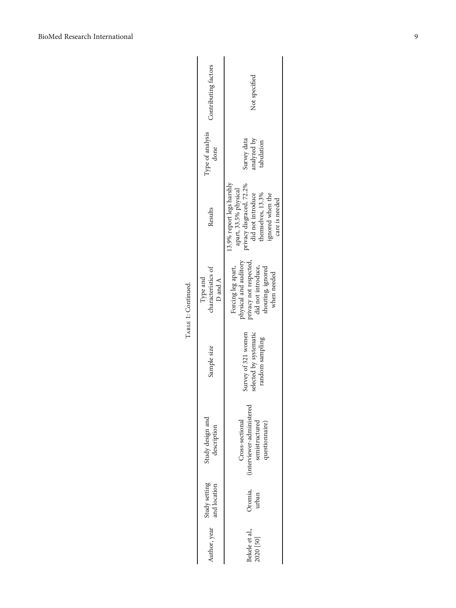|                     | Contributing factors                      | Not specified                                                                                                                                                  |
|---------------------|-------------------------------------------|----------------------------------------------------------------------------------------------------------------------------------------------------------------|
|                     | Type of analysis<br>done                  | Survey data<br>analyzed by<br>tabulation                                                                                                                       |
|                     | Results                                   | 13.9% report legs harshly<br>privacy disgraced, 72.2%<br>did not introduce<br>apart, 33.5% physical<br>themselves, 13.3%<br>ignored when the<br>care is needed |
| TABLE 1: Continued. | characteristics of<br>D and A<br>Type and | physical and auditory<br>privacy not respected,<br>did not introduce,<br>shouting, ignored<br>Forcing leg apart,<br>when needed                                |
|                     | Sample size                               | selected by systematic<br>Survey of 321 women<br>random sampling                                                                                               |
|                     | Study design and<br>description           | interviewer-administered<br>Cross-sectional<br>semistructured<br>questionnaire)                                                                                |
|                     | Study setting<br>and location             | Oromia,<br>urban                                                                                                                                               |
|                     | Author, year                              | Bekele et al.,<br>2020 [50]                                                                                                                                    |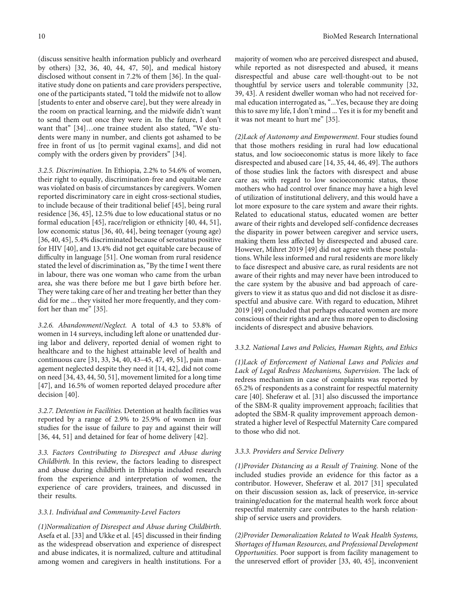(discuss sensitive health information publicly and overheard by others) [[32](#page-12-0), [36](#page-13-0), [40](#page-13-0), [44, 47, 50\]](#page-13-0), and medical history disclosed without consent in 7.2% of them [[36](#page-13-0)]. In the qualitative study done on patients and care providers perspective, one of the participants stated, "I told the midwife not to allow [students to enter and observe care], but they were already in the room on practical learning, and the midwife didn't want to send them out once they were in. In the future, I don't want that" [\[34\]](#page-12-0)…one trainee student also stated, "We students were many in number, and clients got ashamed to be free in front of us [to permit vaginal exams], and did not comply with the orders given by providers" [\[34\]](#page-12-0).

3.2.5. Discrimination. In Ethiopia, 2.2% to 54.6% of women, their right to equally, discrimination-free and equitable care was violated on basis of circumstances by caregivers. Women reported discriminatory care in eight cross-sectional studies, to include because of their traditional belief [\[45](#page-13-0)], being rural residence [\[36, 45\]](#page-13-0), 12.5% due to low educational status or no formal education [\[45\]](#page-13-0), race/religion or ethnicity [\[40, 44, 51](#page-13-0)], low economic status [[36](#page-13-0), [40, 44](#page-13-0)], being teenager (young age) [\[36, 40, 45\]](#page-13-0), 5.4% discriminated because of serostatus positive for HIV [\[40\]](#page-13-0), and 13.4% did not get equitable care because of difficulty in language [[51](#page-13-0)]. One woman from rural residence stated the level of discrimination as, "By the time I went there in labour, there was one woman who came from the urban area, she was there before me but I gave birth before her. They were taking care of her and treating her better than they did for me ... they visited her more frequently, and they comfort her than me" [\[35\]](#page-12-0).

3.2.6. Abandonment/Neglect. A total of 4.3 to 53.8% of women in 14 surveys, including left alone or unattended during labor and delivery, reported denial of women right to healthcare and to the highest attainable level of health and continuous care [\[31, 33, 34,](#page-12-0) [40, 43](#page-13-0)–[45, 47, 49, 51\]](#page-13-0), pain management neglected despite they need it [\[14](#page-12-0), [42\]](#page-13-0), did not come on need [[34](#page-12-0), [43](#page-13-0), [44, 50, 51](#page-13-0)], movement limited for a long time [\[47](#page-13-0)], and 16.5% of women reported delayed procedure after decision [[40\]](#page-13-0).

3.2.7. Detention in Facilities. Detention at health facilities was reported by a range of 2.9% to 25.9% of women in four studies for the issue of failure to pay and against their will [\[36](#page-13-0), [44](#page-13-0), [51\]](#page-13-0) and detained for fear of home delivery [\[42\]](#page-13-0).

3.3. Factors Contributing to Disrespect and Abuse during Childbirth. In this review, the factors leading to disrespect and abuse during childbirth in Ethiopia included research from the experience and interpretation of women, the experience of care providers, trainees, and discussed in their results.

#### 3.3.1. Individual and Community-Level Factors

(1)Normalization of Disrespect and Abuse during Childbirth. Asefa et al. [[33](#page-12-0)] and Ukke et al. [[45\]](#page-13-0) discussed in their finding as the widespread observation and experience of disrespect and abuse indicates, it is normalized, culture and attitudinal among women and caregivers in health institutions. For a

majority of women who are perceived disrespect and abused, while reported as not disrespected and abused, it means disrespectful and abuse care well-thought-out to be not thoughtful by service users and tolerable community [\[32,](#page-12-0) [39, 43\]](#page-13-0). A resident dweller woman who had not received formal education interrogated as, "...Yes, because they are doing this to save my life, I don't mind ... Yes it is for my benefit and it was not meant to hurt me" [[35](#page-12-0)].

(2)Lack of Autonomy and Empowerment. Four studies found that those mothers residing in rural had low educational status, and low socioeconomic status is more likely to face disrespected and abused care [[14, 35](#page-12-0), [44](#page-13-0), [46](#page-13-0), [49](#page-13-0)]. The authors of those studies link the factors with disrespect and abuse care as; with regard to low socioeconomic status, those mothers who had control over finance may have a high level of utilization of institutional delivery, and this would have a lot more exposure to the care system and aware their rights. Related to educational status, educated women are better aware of their rights and developed self-confidence decreases the disparity in power between caregiver and service users, making them less affected by disrespected and abused care. However, Mihret 2019 [[49](#page-13-0)] did not agree with these postulations. While less informed and rural residents are more likely to face disrespect and abusive care, as rural residents are not aware of their rights and may never have been introduced to the care system by the abusive and bad approach of caregivers to view it as status quo and did not disclose it as disrespectful and abusive care. With regard to education, Mihret 2019 [[49\]](#page-13-0) concluded that perhaps educated women are more conscious of their rights and are thus more open to disclosing incidents of disrespect and abusive behaviors.

#### 3.3.2. National Laws and Policies, Human Rights, and Ethics

(1)Lack of Enforcement of National Laws and Policies and Lack of Legal Redress Mechanisms, Supervision. The lack of redress mechanism in case of complaints was reported by 65.2% of respondents as a constraint for respectful maternity care [[40](#page-13-0)]. Sheferaw et al. [\[31\]](#page-12-0) also discussed the importance of the SBM-R quality improvement approach; facilities that adopted the SBM-R quality improvement approach demonstrated a higher level of Respectful Maternity Care compared to those who did not.

#### 3.3.3. Providers and Service Delivery

(1)Provider Distancing as a Result of Training. None of the included studies provide an evidence for this factor as a contributor. However, Sheferaw et al. 2017 [[31](#page-12-0)] speculated on their discussion session as, lack of preservice, in-service training/education for the maternal health work force about respectful maternity care contributes to the harsh relationship of service users and providers.

(2)Provider Demoralization Related to Weak Health Systems, Shortages of Human Resources, and Professional Development Opportunities. Poor support is from facility management to the unreserved effort of provider [\[33,](#page-12-0) [40, 45\]](#page-13-0), inconvenient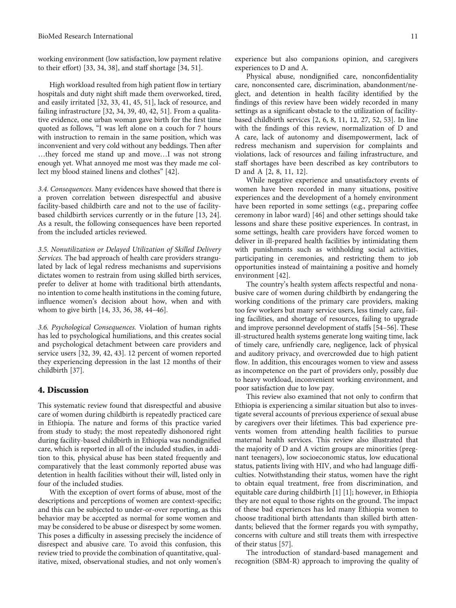working environment (low satisfaction, low payment relative to their effort) [\[33, 34](#page-12-0), [38\]](#page-13-0), and staff shortage [[34,](#page-12-0) [51](#page-13-0)].

High workload resulted from high patient flow in tertiary hospitals and duty night shift made them overworked, tired, and easily irritated [\[32, 33](#page-12-0), [41](#page-13-0), [45, 51](#page-13-0)], lack of resource, and failing infrastructure [[32](#page-12-0), [34,](#page-12-0) [39, 40](#page-13-0), [42, 51](#page-13-0)]. From a qualitative evidence, one urban woman gave birth for the first time quoted as follows, "I was left alone on a couch for 7 hours with instruction to remain in the same position, which was inconvenient and very cold without any beddings. Then after …they forced me stand up and move…I was not strong enough yet. What annoyed me most was they made me collect my blood stained linens and clothes" [[42](#page-13-0)].

3.4. Consequences. Many evidences have showed that there is a proven correlation between disrespectful and abusive facility-based childbirth care and not to the use of facilitybased childbirth services currently or in the future [[13](#page-12-0), [24](#page-12-0)]. As a result, the following consequences have been reported from the included articles reviewed.

3.5. Nonutilization or Delayed Utilization of Skilled Delivery Services. The bad approach of health care providers strangulated by lack of legal redress mechanisms and supervisions dictates women to restrain from using skilled birth services, prefer to deliver at home with traditional birth attendants, no intention to come health institutions in the coming future, influence women's decision about how, when and with whom to give birth [\[14, 33](#page-12-0), [36, 38](#page-13-0), [44](#page-13-0)–[46](#page-13-0)].

3.6. Psychological Consequences. Violation of human rights has led to psychological humiliations, and this creates social and psychological detachment between care providers and service users [[32](#page-12-0), [39, 42](#page-13-0), [43](#page-13-0)]. 12 percent of women reported they experiencing depression in the last 12 months of their childbirth [[37](#page-13-0)].

#### 4. Discussion

This systematic review found that disrespectful and abusive care of women during childbirth is repeatedly practiced care in Ethiopia. The nature and forms of this practice varied from study to study; the most repeatedly dishonored right during facility-based childbirth in Ethiopia was nondignified care, which is reported in all of the included studies, in addition to this, physical abuse has been stated frequently and comparatively that the least commonly reported abuse was detention in health facilities without their will, listed only in four of the included studies.

With the exception of overt forms of abuse, most of the descriptions and perceptions of women are context-specific; and this can be subjected to under-or-over reporting, as this behavior may be accepted as normal for some women and may be considered to be abuse or disrespect by some women. This poses a difficulty in assessing precisely the incidence of disrespect and abusive care. To avoid this confusion, this review tried to provide the combination of quantitative, qualitative, mixed, observational studies, and not only women's

experience but also companions opinion, and caregivers experiences to D and A.

Physical abuse, nondignified care, nonconfidentiality care, nonconsented care, discrimination, abandonment/neglect, and detention in health facility identified by the findings of this review have been widely recorded in many settings as a significant obstacle to the utilization of facilitybased childbirth services [\[2](#page-11-0), [6](#page-12-0), [8, 11, 12, 27,](#page-12-0) [52, 53](#page-13-0)]. In line with the findings of this review, normalization of D and A care, lack of autonomy and disempowerment, lack of redress mechanism and supervision for complaints and violations, lack of resources and failing infrastructure, and staff shortages have been described as key contributors to D and A [[2,](#page-11-0) [8](#page-12-0), [11, 12](#page-12-0)].

While negative experience and unsatisfactory events of women have been recorded in many situations, positive experiences and the development of a homely environment have been reported in some settings (e.g., preparing coffee ceremony in labor ward) [\[46\]](#page-13-0) and other settings should take lessons and share these positive experiences. In contrast, in some settings, health care providers have forced women to deliver in ill-prepared health facilities by intimidating them with punishments such as withholding social activities, participating in ceremonies, and restricting them to job opportunities instead of maintaining a positive and homely environment [[42](#page-13-0)].

The country's health system affects respectful and nonabusive care of women during childbirth by endangering the working conditions of the primary care providers, making too few workers but many service users, less timely care, failing facilities, and shortage of resources, failing to upgrade and improve personnel development of staffs [\[54](#page-13-0)–[56\]](#page-13-0). These ill-structured health systems generate long waiting time, lack of timely care, unfriendly care, negligence, lack of physical and auditory privacy, and overcrowded due to high patient flow. In addition, this encourages women to view and assess as incompetence on the part of providers only, possibly due to heavy workload, inconvenient working environment, and poor satisfaction due to low pay.

This review also examined that not only to confirm that Ethiopia is experiencing a similar situation but also to investigate several accounts of previous experience of sexual abuse by caregivers over their lifetimes. This bad experience prevents women from attending health facilities to pursue maternal health services. This review also illustrated that the majority of D and A victim groups are minorities (pregnant teenagers), low socioeconomic status, low educational status, patients living with HIV, and who had language difficulties. Notwithstanding their status, women have the right to obtain equal treatment, free from discrimination, and equitable care during childbirth [[1](#page-11-0)] [[1](#page-11-0)]; however, in Ethiopia they are not equal to those rights on the ground. The impact of these bad experiences has led many Ethiopia women to choose traditional birth attendants than skilled birth attendants; believed that the former regards you with sympathy, concerns with culture and still treats them with irrespective of their status [\[57\]](#page-13-0).

The introduction of standard-based management and recognition (SBM-R) approach to improving the quality of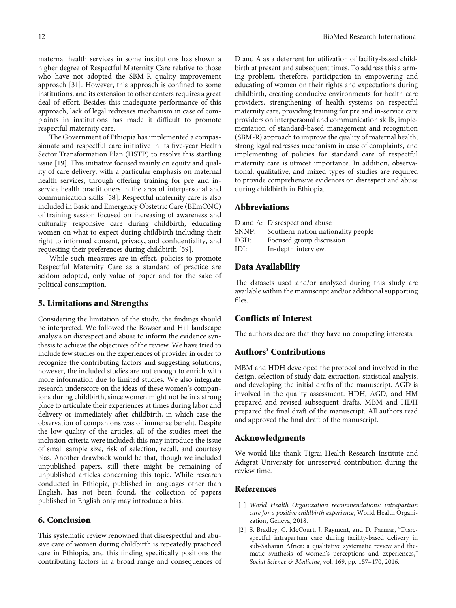<span id="page-11-0"></span>maternal health services in some institutions has shown a higher degree of Respectful Maternity Care relative to those who have not adopted the SBM-R quality improvement approach [[31](#page-12-0)]. However, this approach is confined to some institutions, and its extension to other centers requires a great deal of effort. Besides this inadequate performance of this approach, lack of legal redresses mechanism in case of complaints in institutions has made it difficult to promote respectful maternity care.

The Government of Ethiopia has implemented a compassionate and respectful care initiative in its five-year Health Sector Transformation Plan (HSTP) to resolve this startling issue [\[19\]](#page-12-0). This initiative focused mainly on equity and quality of care delivery, with a particular emphasis on maternal health services, through offering training for pre and inservice health practitioners in the area of interpersonal and communication skills [[58](#page-13-0)]. Respectful maternity care is also included in Basic and Emergency Obstetric Care (BEmONC) of training session focused on increasing of awareness and culturally responsive care during childbirth, educating women on what to expect during childbirth including their right to informed consent, privacy, and confidentiality, and requesting their preferences during childbirth [[59](#page-13-0)].

While such measures are in effect, policies to promote Respectful Maternity Care as a standard of practice are seldom adopted, only value of paper and for the sake of political consumption.

#### 5. Limitations and Strengths

Considering the limitation of the study, the findings should be interpreted. We followed the Bowser and Hill landscape analysis on disrespect and abuse to inform the evidence synthesis to achieve the objectives of the review. We have tried to include few studies on the experiences of provider in order to recognize the contributing factors and suggesting solutions, however, the included studies are not enough to enrich with more information due to limited studies. We also integrate research underscore on the ideas of these women's companions during childbirth, since women might not be in a strong place to articulate their experiences at times during labor and delivery or immediately after childbirth, in which case the observation of companions was of immense benefit. Despite the low quality of the articles, all of the studies meet the inclusion criteria were included; this may introduce the issue of small sample size, risk of selection, recall, and courtesy bias. Another drawback would be that, though we included unpublished papers, still there might be remaining of unpublished articles concerning this topic. While research conducted in Ethiopia, published in languages other than English, has not been found, the collection of papers published in English only may introduce a bias.

#### 6. Conclusion

This systematic review renowned that disrespectful and abusive care of women during childbirth is repeatedly practiced care in Ethiopia, and this finding specifically positions the contributing factors in a broad range and consequences of

D and A as a deterrent for utilization of facility-based childbirth at present and subsequent times. To address this alarming problem, therefore, participation in empowering and educating of women on their rights and expectations during childbirth, creating conducive environments for health care providers, strengthening of health systems on respectful maternity care, providing training for pre and in-service care providers on interpersonal and communication skills, implementation of standard-based management and recognition (SBM-R) approach to improve the quality of maternal health, strong legal redresses mechanism in case of complaints, and implementing of policies for standard care of respectful maternity care is utmost importance. In addition, observational, qualitative, and mixed types of studies are required to provide comprehensive evidences on disrespect and abuse during childbirth in Ethiopia.

#### Abbreviations

|       | D and A: Disrespect and abuse      |
|-------|------------------------------------|
| SNNP: | Southern nation nationality people |
| FGD:  | Focused group discussion           |
| IDI:  | In-depth interview.                |

#### Data Availability

The datasets used and/or analyzed during this study are available within the manuscript and/or additional supporting files.

#### Conflicts of Interest

The authors declare that they have no competing interests.

#### Authors' Contributions

MBM and HDH developed the protocol and involved in the design, selection of study data extraction, statistical analysis, and developing the initial drafts of the manuscript. AGD is involved in the quality assessment. HDH, AGD, and HM prepared and revised subsequent drafts. MBM and HDH prepared the final draft of the manuscript. All authors read and approved the final draft of the manuscript.

#### Acknowledgments

We would like thank Tigrai Health Research Institute and Adigrat University for unreserved contribution during the review time.

#### References

- [1] World Health Organization recommendations: intrapartum care for a positive childbirth experience, World Health Organization, Geneva, 2018.
- [2] S. Bradley, C. McCourt, J. Rayment, and D. Parmar, "Disrespectful intrapartum care during facility-based delivery in sub-Saharan Africa: a qualitative systematic review and thematic synthesis of women's perceptions and experiences," Social Science & Medicine, vol. 169, pp. 157–170, 2016.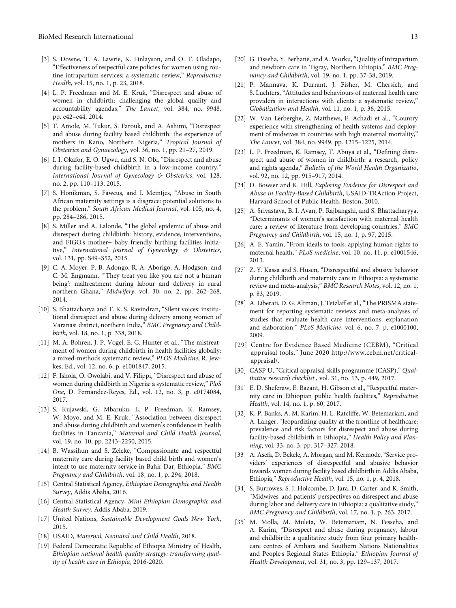- <span id="page-12-0"></span>[3] S. Downe, T. A. Lawrie, K. Finlayson, and O. T. Oladapo, "Effectiveness of respectful care policies for women using routine intrapartum services: a systematic review," Reproductive Health, vol. 15, no. 1, p. 23, 2018.
- [4] L. P. Freedman and M. E. Kruk, "Disrespect and abuse of women in childbirth: challenging the global quality and accountability agendas," The Lancet, vol. 384, no. 9948, pp. e42–e44, 2014.
- [5] T. Amole, M. Tukur, S. Farouk, and A. Ashimi, "Disrespect and abuse during facility based childbirth: the experience of mothers in Kano, Northern Nigeria," Tropical Journal of Obstetrics and Gynaecology, vol. 36, no. 1, pp. 21–27, 2019.
- [6] I. I. Okafor, E. O. Ugwu, and S. N. Obi, "Disrespect and abuse during facility-based childbirth in a low-income country," International Journal of Gynecology & Obstetrics, vol. 128, no. 2, pp. 110–113, 2015.
- [7] S. Honikman, S. Fawcus, and I. Meintjes, "Abuse in South African maternity settings is a disgrace: potential solutions to the problem," South African Medical Journal, vol. 105, no. 4, pp. 284–286, 2015.
- [8] S. Miller and A. Lalonde, "The global epidemic of abuse and disrespect during childbirth: history, evidence, interventions, and FIGO's mother− baby friendly birthing facilities initiative," International Journal of Gynecology & Obstetrics, vol. 131, pp. S49–S52, 2015.
- [9] C. A. Moyer, P. B. Adongo, R. A. Aborigo, A. Hodgson, and C. M. Engmann, "'They treat you like you are not a human being': maltreatment during labour and delivery in rural northern Ghana," Midwifery, vol. 30, no. 2, pp. 262–268, 2014.
- [10] S. Bhattacharya and T. K. S. Ravindran, "Silent voices: institutional disrespect and abuse during delivery among women of Varanasi district, northern India," BMC Pregnancy and Childbirth, vol. 18, no. 1, p. 338, 2018.
- [11] M. A. Bohren, J. P. Vogel, E. C. Hunter et al., "The mistreatment of women during childbirth in health facilities globally: a mixed-methods systematic review," PLOS Medicine, R. Jewkes, Ed., vol. 12, no. 6, p. e1001847, 2015.
- [12] F. Ishola, O. Owolabi, and V. Filippi, "Disrespect and abuse of women during childbirth in Nigeria: a systematic review," PloS One, D. Fernandez-Reyes, Ed., vol. 12, no. 3, p. e0174084, 2017.
- [13] S. Kujawski, G. Mbaruku, L. P. Freedman, K. Ramsey, W. Moyo, and M. E. Kruk, "Association between disrespect and abuse during childbirth and women's confidence in health facilities in Tanzania," Maternal and Child Health Journal, vol. 19, no. 10, pp. 2243–2250, 2015.
- [14] B. Wassihun and S. Zeleke, "Compassionate and respectful maternity care during facility based child birth and women's intent to use maternity service in Bahir Dar, Ethiopia," BMC Pregnancy and Childbirth, vol. 18, no. 1, p. 294, 2018.
- [15] Central Statistical Agency, Ethiopian Demographic and Health Survey, Addis Ababa, 2016.
- [16] Central Statistical Agency, Mini Ethiopian Demographic and Health Survey, Addis Ababa, 2019.
- [17] United Nations, Sustainable Development Goals New York, 2015.
- [18] USAID, Maternal, Neonatal and Child Health, 2018.
- [19] Federal Democratic Republic of Ethiopia Ministry of Health, Ethiopian national health quality strategy: transforming quality of health care in Ethiopia, 2016-2020.
- [20] G. Fisseha, Y. Berhane, and A. Worku, "Quality of intrapartum and newborn care in Tigray, Northern Ethiopia," BMC Pregnancy and Childbirth, vol. 19, no. 1, pp. 37-38, 2019.
- [21] P. Mannava, K. Durrant, J. Fisher, M. Chersich, and S. Luchters, "Attitudes and behaviours of maternal health care providers in interactions with clients: a systematic review," Globalization and Health, vol. 11, no. 1, p. 36, 2015.
- [22] W. Van Lerberghe, Z. Matthews, E. Achadi et al., "Country experience with strengthening of health systems and deployment of midwives in countries with high maternal mortality," The Lancet, vol. 384, no. 9949, pp. 1215–1225, 2014.
- [23] L. P. Freedman, K. Ramsey, T. Abuya et al., "Defining disrespect and abuse of women in childbirth: a research, policy and rights agenda," Bulletin of the World Health Organizatio, vol. 92, no. 12, pp. 915–917, 2014.
- [24] D. Bowser and K. Hill, Exploring Evidence for Disrespect and Abuse in Facility-Based Childbirth, USAID-TRAction Project, Harvard School of Public Health, Boston, 2010.
- [25] A. Srivastava, B. I. Avan, P. Rajbangshi, and S. Bhattacharyya, "Determinants of women's satisfaction with maternal health care: a review of literature from developing countries," BMC Pregnancy and Childbirth, vol. 15, no. 1, p. 97, 2015.
- [26] A. E. Yamin, "From ideals to tools: applying human rights to maternal health," PLoS medicine, vol. 10, no. 11, p. e1001546, 2013.
- [27] Z. Y. Kassa and S. Husen, "Disrespectful and abusive behavior during childbirth and maternity care in Ethiopia: a systematic review and meta-analysis," BMC Research Notes, vol. 12, no. 1, p. 83, 2019.
- [28] A. Liberati, D. G. Altman, J. Tetzlaff et al., "The PRISMA statement for reporting systematic reviews and meta-analyses of studies that evaluate health care interventions: explanation and elaboration," PLoS Medicine, vol. 6, no. 7, p. e1000100, 2009.
- [29] Centre for Evidence Based Medicine (CEBM), "Critical appraisal tools," June 2020 [http://www.cebm.net/critical](http://www.cebm.net/critical-appraisal/)[appraisal/](http://www.cebm.net/critical-appraisal/).
- [30] CASP U, "Critical appraisal skills programme (CASP)," Qualitative research checklist., vol. 31, no. 13, p. 449, 2017.
- [31] E. D. Sheferaw, E. Bazant, H. Gibson et al., "Respectful maternity care in Ethiopian public health facilities," Reproductive Health, vol. 14, no. 1, p. 60, 2017.
- [32] K. P. Banks, A. M. Karim, H. L. Ratcliffe, W. Betemariam, and A. Langer, "Jeopardizing quality at the frontline of healthcare: prevalence and risk factors for disrespect and abuse during facility-based childbirth in Ethiopia," Health Policy and Planning, vol. 33, no. 3, pp. 317–327, 2018.
- [33] A. Asefa, D. Bekele, A. Morgan, and M. Kermode, "Service providers' experiences of disrespectful and abusive behavior towards women during facility based childbirth in Addis Ababa, Ethiopia," Reproductive Health, vol. 15, no. 1, p. 4, 2018.
- [34] S. Burrowes, S. J. Holcombe, D. Jara, D. Carter, and K. Smith, "Midwives' and patients' perspectives on disrespect and abuse during labor and delivery care in Ethiopia: a qualitative study," BMC Pregnancy and Childbirth, vol. 17, no. 1, p. 263, 2017.
- [35] M. Molla, M. Muleta, W. Betemariam, N. Fesseha, and A. Karim, "Disrespect and abuse during pregnancy, labour and childbirth: a qualitative study from four primary healthcare centres of Amhara and Southern Nations Nationalities and People's Regional States Ethiopia," Ethiopian Journal of Health Development, vol. 31, no. 3, pp. 129–137, 2017.